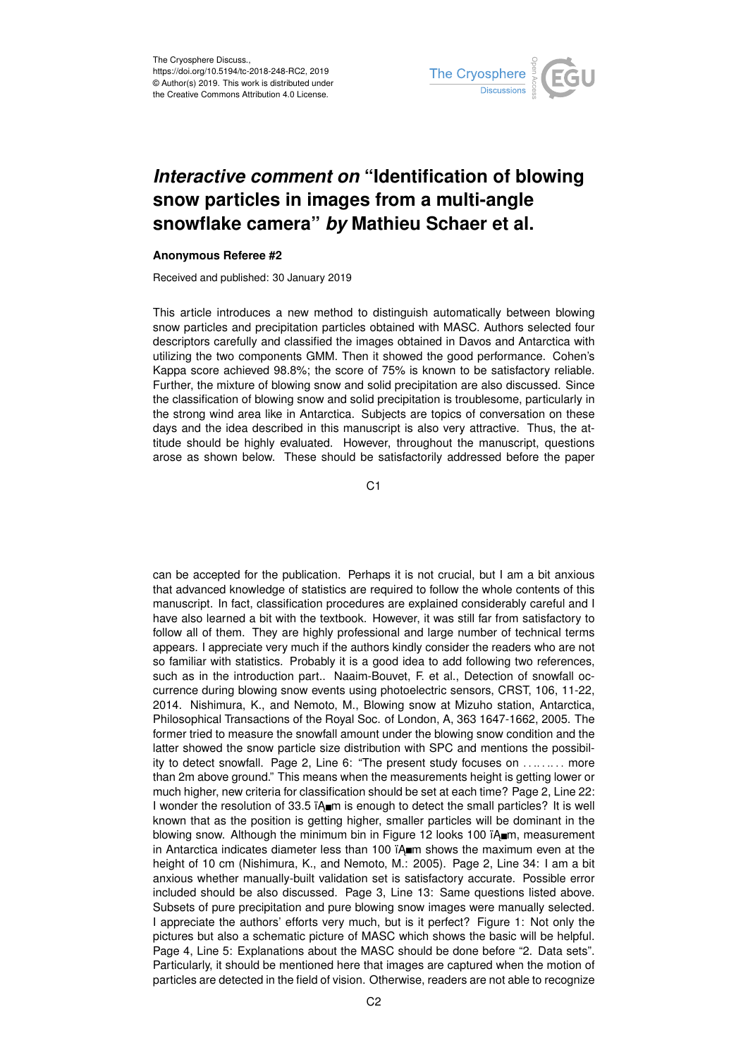

## *Interactive comment on* **"Identification of blowing snow particles in images from a multi-angle snowflake camera"** *by* **Mathieu Schaer et al.**

## **Anonymous Referee #2**

Received and published: 30 January 2019

This article introduces a new method to distinguish automatically between blowing snow particles and precipitation particles obtained with MASC. Authors selected four descriptors carefully and classified the images obtained in Davos and Antarctica with utilizing the two components GMM. Then it showed the good performance. Cohen's Kappa score achieved 98.8%; the score of 75% is known to be satisfactory reliable. Further, the mixture of blowing snow and solid precipitation are also discussed. Since the classification of blowing snow and solid precipitation is troublesome, particularly in the strong wind area like in Antarctica. Subjects are topics of conversation on these days and the idea described in this manuscript is also very attractive. Thus, the attitude should be highly evaluated. However, throughout the manuscript, questions arose as shown below. These should be satisfactorily addressed before the paper

C1

can be accepted for the publication. Perhaps it is not crucial, but I am a bit anxious that advanced knowledge of statistics are required to follow the whole contents of this manuscript. In fact, classification procedures are explained considerably careful and I have also learned a bit with the textbook. However, it was still far from satisfactory to follow all of them. They are highly professional and large number of technical terms appears. I appreciate very much if the authors kindly consider the readers who are not so familiar with statistics. Probably it is a good idea to add following two references, such as in the introduction part.. Naaim-Bouvet, F. et al., Detection of snowfall occurrence during blowing snow events using photoelectric sensors, CRST, 106, 11-22, 2014. Nishimura, K., and Nemoto, M., Blowing snow at Mizuho station, Antarctica, Philosophical Transactions of the Royal Soc. of London, A, 363 1647-1662, 2005. The former tried to measure the snowfall amount under the blowing snow condition and the latter showed the snow particle size distribution with SPC and mentions the possibility to detect snowfall. Page 2, Line 6: "The present study focuses on . . .. . .. . . more than 2m above ground." This means when the measurements height is getting lower or much higher, new criteria for classification should be set at each time? Page 2, Line 22: I wonder the resolution of 33.5 TA m is enough to detect the small particles? It is well known that as the position is getting higher, smaller particles will be dominant in the blowing snow. Although the minimum bin in Figure 12 looks 100  $\lambda$  m, measurement in Antarctica indicates diameter less than 100  $\hat{i}$ A m shows the maximum even at the height of 10 cm (Nishimura, K., and Nemoto, M.: 2005). Page 2, Line 34: I am a bit anxious whether manually-built validation set is satisfactory accurate. Possible error included should be also discussed. Page 3, Line 13: Same questions listed above. Subsets of pure precipitation and pure blowing snow images were manually selected. I appreciate the authors' efforts very much, but is it perfect? Figure 1: Not only the pictures but also a schematic picture of MASC which shows the basic will be helpful. Page 4, Line 5: Explanations about the MASC should be done before "2. Data sets". Particularly, it should be mentioned here that images are captured when the motion of particles are detected in the field of vision. Otherwise, readers are not able to recognize